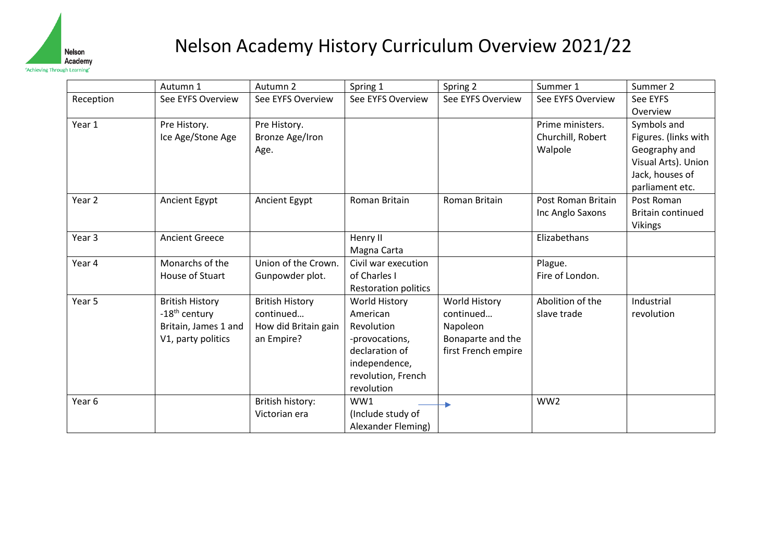

## Nelson Academy History Curriculum Overview 2021/22

|                   | Autumn 1                                                                                          | Autumn 2                                                                  | Spring 1                                                                                                                                | Spring 2                                                                                  | Summer 1                                         | Summer 2                                                                                                          |
|-------------------|---------------------------------------------------------------------------------------------------|---------------------------------------------------------------------------|-----------------------------------------------------------------------------------------------------------------------------------------|-------------------------------------------------------------------------------------------|--------------------------------------------------|-------------------------------------------------------------------------------------------------------------------|
| Reception         | See EYFS Overview                                                                                 | See EYFS Overview                                                         | See EYFS Overview                                                                                                                       | See EYFS Overview                                                                         | See EYFS Overview                                | See EYFS                                                                                                          |
|                   |                                                                                                   |                                                                           |                                                                                                                                         |                                                                                           |                                                  | Overview                                                                                                          |
| Year 1            | Pre History.<br>Ice Age/Stone Age                                                                 | Pre History.<br>Bronze Age/Iron<br>Age.                                   |                                                                                                                                         |                                                                                           | Prime ministers.<br>Churchill, Robert<br>Walpole | Symbols and<br>Figures. (links with<br>Geography and<br>Visual Arts). Union<br>Jack, houses of<br>parliament etc. |
| Year <sub>2</sub> | Ancient Egypt                                                                                     | <b>Ancient Egypt</b>                                                      | Roman Britain                                                                                                                           | Roman Britain                                                                             | Post Roman Britain<br>Inc Anglo Saxons           | Post Roman<br><b>Britain continued</b><br><b>Vikings</b>                                                          |
| Year <sub>3</sub> | <b>Ancient Greece</b>                                                                             |                                                                           | Henry II<br>Magna Carta                                                                                                                 |                                                                                           | Elizabethans                                     |                                                                                                                   |
| Year 4            | Monarchs of the<br>House of Stuart                                                                | Union of the Crown.<br>Gunpowder plot.                                    | Civil war execution<br>of Charles I<br><b>Restoration politics</b>                                                                      |                                                                                           | Plague.<br>Fire of London.                       |                                                                                                                   |
| Year 5            | <b>British History</b><br>-18 <sup>th</sup> century<br>Britain, James 1 and<br>V1, party politics | <b>British History</b><br>continued<br>How did Britain gain<br>an Empire? | <b>World History</b><br>American<br>Revolution<br>-provocations,<br>declaration of<br>independence,<br>revolution, French<br>revolution | <b>World History</b><br>continued<br>Napoleon<br>Bonaparte and the<br>first French empire | Abolition of the<br>slave trade                  | Industrial<br>revolution                                                                                          |
| Year 6            |                                                                                                   | British history:<br>Victorian era                                         | WW1<br>(Include study of<br>Alexander Fleming)                                                                                          |                                                                                           | WW <sub>2</sub>                                  |                                                                                                                   |